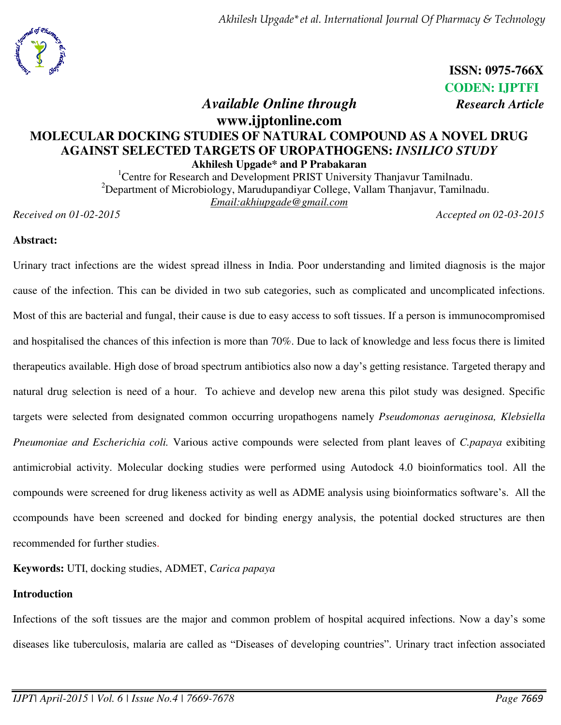*Akhilesh Upgade\*et al. International Journal Of Pharmacy & Technology* 



 **ISSN: 0975-766X CODEN: IJPTFI**   *Available Online through Research Article*

## **www.ijptonline.com MOLECULAR DOCKING STUDIES OF NATURAL COMPOUND AS A NOVEL DRUG AGAINST SELECTED TARGETS OF UROPATHOGENS:** *INSILICO STUDY* **Akhilesh Upgade\* and P Prabakaran**

<sup>1</sup>Centre for Research and Development PRIST University Thanjavur Tamilnadu. <sup>2</sup>Department of Microbiology, Marudupandiyar College, Vallam Thanjavur, Tamilnadu. *Email:akhiupgade@gmail.com* 

*Received on 01-02-2015 Accepted on 02-03-2015* 

## **Abstract:**

Urinary tract infections are the widest spread illness in India. Poor understanding and limited diagnosis is the major cause of the infection. This can be divided in two sub categories, such as complicated and uncomplicated infections. Most of this are bacterial and fungal, their cause is due to easy access to soft tissues. If a person is immunocompromised and hospitalised the chances of this infection is more than 70%. Due to lack of knowledge and less focus there is limited therapeutics available. High dose of broad spectrum antibiotics also now a day's getting resistance. Targeted therapy and natural drug selection is need of a hour. To achieve and develop new arena this pilot study was designed. Specific targets were selected from designated common occurring uropathogens namely *Pseudomonas aeruginosa, Klebsiella Pneumoniae and Escherichia coli.* Various active compounds were selected from plant leaves of *C.papaya* exibiting antimicrobial activity. Molecular docking studies were performed using Autodock 4.0 bioinformatics tool. All the compounds were screened for drug likeness activity as well as ADME analysis using bioinformatics software's. All the ccompounds have been screened and docked for binding energy analysis, the potential docked structures are then recommended for further studies.

**Keywords:** UTI, docking studies, ADMET, *Carica papaya*

## **Introduction**

Infections of the soft tissues are the major and common problem of hospital acquired infections. Now a day's some diseases like tuberculosis, malaria are called as "Diseases of developing countries". Urinary tract infection associated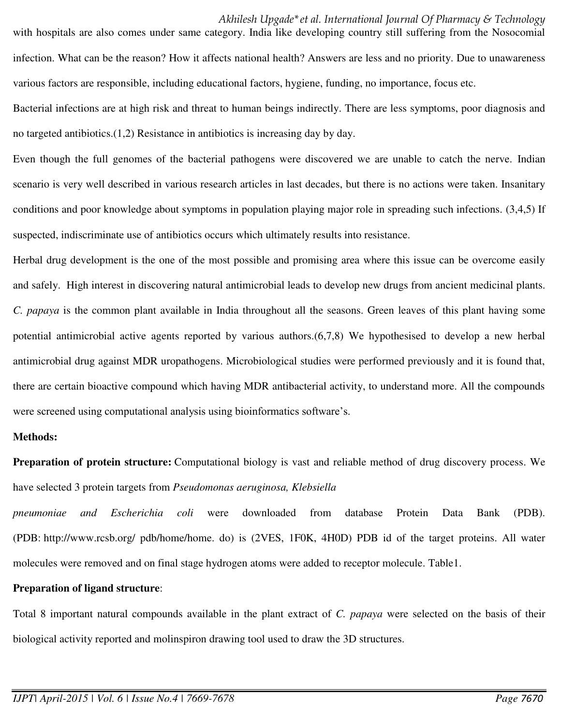*Akhilesh Upgade\*et al. International Journal Of Pharmacy & Technology* 

with hospitals are also comes under same category. India like developing country still suffering from the Nosocomial infection. What can be the reason? How it affects national health? Answers are less and no priority. Due to unawareness various factors are responsible, including educational factors, hygiene, funding, no importance, focus etc.

Bacterial infections are at high risk and threat to human beings indirectly. There are less symptoms, poor diagnosis and no targeted antibiotics.(1,2) Resistance in antibiotics is increasing day by day.

Even though the full genomes of the bacterial pathogens were discovered we are unable to catch the nerve. Indian scenario is very well described in various research articles in last decades, but there is no actions were taken. Insanitary conditions and poor knowledge about symptoms in population playing major role in spreading such infections. (3,4,5) If suspected, indiscriminate use of antibiotics occurs which ultimately results into resistance.

Herbal drug development is the one of the most possible and promising area where this issue can be overcome easily and safely. High interest in discovering natural antimicrobial leads to develop new drugs from ancient medicinal plants. *C. papaya* is the common plant available in India throughout all the seasons. Green leaves of this plant having some potential antimicrobial active agents reported by various authors.(6,7,8) We hypothesised to develop a new herbal antimicrobial drug against MDR uropathogens. Microbiological studies were performed previously and it is found that, there are certain bioactive compound which having MDR antibacterial activity, to understand more. All the compounds were screened using computational analysis using bioinformatics software's.

## **Methods:**

**Preparation of protein structure:** Computational biology is vast and reliable method of drug discovery process. We have selected 3 protein targets from *Pseudomonas aeruginosa, Klebsiella* 

*pneumoniae and Escherichia coli* were downloaded from database Protein Data Bank (PDB). (PDB: [http://www.rcsb.org/ pdb/home/home. do\)](http://www.rcsb.org/pdb/home/home.do) is (2VES, 1F0K, 4H0D) PDB id of the target proteins. All water molecules were removed and on final stage hydrogen atoms were added to receptor molecule. Table1.

## **Preparation of ligand structure**:

Total 8 important natural compounds available in the plant extract of *C. papaya* were selected on the basis of their biological activity reported and molinspiron drawing tool used to draw the 3D structures.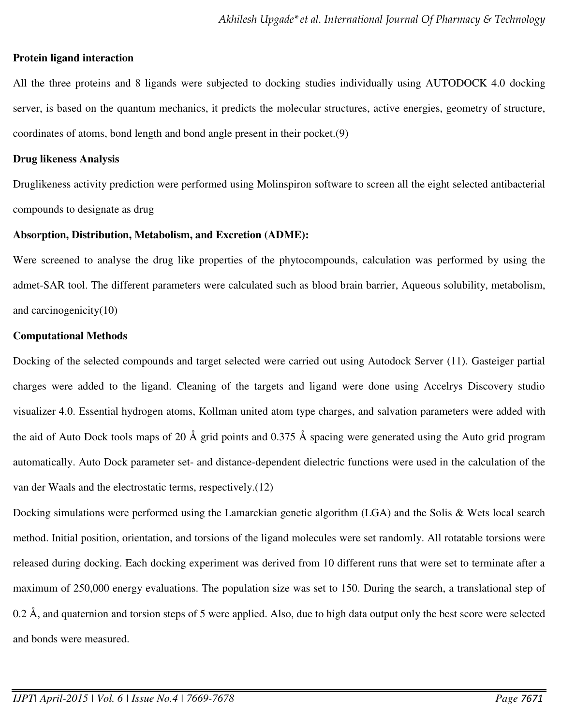## **Protein ligand interaction**

All the three proteins and 8 ligands were subjected to docking studies individually using AUTODOCK 4.0 docking server, is based on the quantum mechanics, it predicts the molecular structures, active energies, geometry of structure, coordinates of atoms, bond length and bond angle present in their pocket.(9)

#### **Drug likeness Analysis**

Druglikeness activity prediction were performed using Molinspiron software to screen all the eight selected antibacterial compounds to designate as drug

#### **Absorption, Distribution, Metabolism, and Excretion (ADME):**

Were screened to analyse the drug like properties of the phytocompounds, calculation was performed by using the admet-SAR tool. The different parameters were calculated such as blood brain barrier, Aqueous solubility, metabolism, and carcinogenicity(10)

#### **Computational Methods**

Docking of the selected compounds and target selected were carried out using Autodock Server (11). Gasteiger partial charges were added to the ligand. Cleaning of the targets and ligand were done using Accelrys Discovery studio visualizer 4.0. Essential hydrogen atoms, Kollman united atom type charges, and salvation parameters were added with the aid of Auto Dock tools maps of 20 Å grid points and 0.375 Å spacing were generated using the Auto grid program automatically. Auto Dock parameter set- and distance-dependent dielectric functions were used in the calculation of the van der Waals and the electrostatic terms, respectively.(12)

Docking simulations were performed using the Lamarckian genetic algorithm (LGA) and the Solis & Wets local search method. Initial position, orientation, and torsions of the ligand molecules were set randomly. All rotatable torsions were released during docking. Each docking experiment was derived from 10 different runs that were set to terminate after a maximum of 250,000 energy evaluations. The population size was set to 150. During the search, a translational step of 0.2 Å, and quaternion and torsion steps of 5 were applied. Also, due to high data output only the best score were selected and bonds were measured.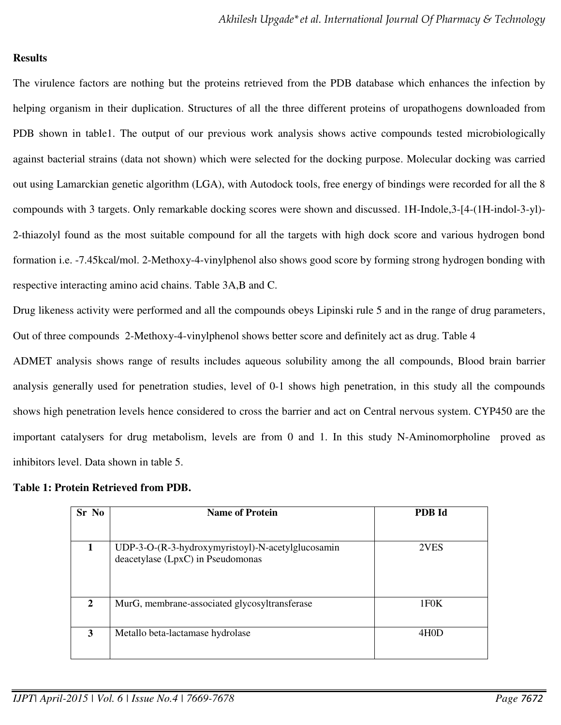## **Results**

The virulence factors are nothing but the proteins retrieved from the PDB database which enhances the infection by helping organism in their duplication. Structures of all the three different proteins of uropathogens downloaded from PDB shown in table1. The output of our previous work analysis shows active compounds tested microbiologically against bacterial strains (data not shown) which were selected for the docking purpose. Molecular docking was carried out using Lamarckian genetic algorithm (LGA), with Autodock tools, free energy of bindings were recorded for all the 8 compounds with 3 targets. Only remarkable docking scores were shown and discussed. 1H-Indole,3-[4-(1H-indol-3-yl)- 2-thiazolyl found as the most suitable compound for all the targets with high dock score and various hydrogen bond formation i.e. -7.45kcal/mol. 2-Methoxy-4-vinylphenol also shows good score by forming strong hydrogen bonding with respective interacting amino acid chains. Table 3A,B and C.

Drug likeness activity were performed and all the compounds obeys Lipinski rule 5 and in the range of drug parameters, Out of three compounds 2-Methoxy-4-vinylphenol shows better score and definitely act as drug. Table 4

ADMET analysis shows range of results includes aqueous solubility among the all compounds, Blood brain barrier analysis generally used for penetration studies, level of 0-1 shows high penetration, in this study all the compounds shows high penetration levels hence considered to cross the barrier and act on Central nervous system. CYP450 are the important catalysers for drug metabolism, levels are from 0 and 1. In this study N-Aminomorpholine proved as inhibitors level. Data shown in table 5.

| Sr No | <b>Name of Protein</b>                            | <b>PDB</b> Id     |  |  |
|-------|---------------------------------------------------|-------------------|--|--|
|       | UDP-3-O-(R-3-hydroxymyristoyl)-N-acetylglucosamin | 2VES              |  |  |
|       | deacetylase (LpxC) in Pseudomonas                 |                   |  |  |
| 2     | MurG, membrane-associated glycosyltransferase     | 1F0K              |  |  |
| 3     | Metallo beta-lactamase hydrolase                  | 4H <sub>0</sub> D |  |  |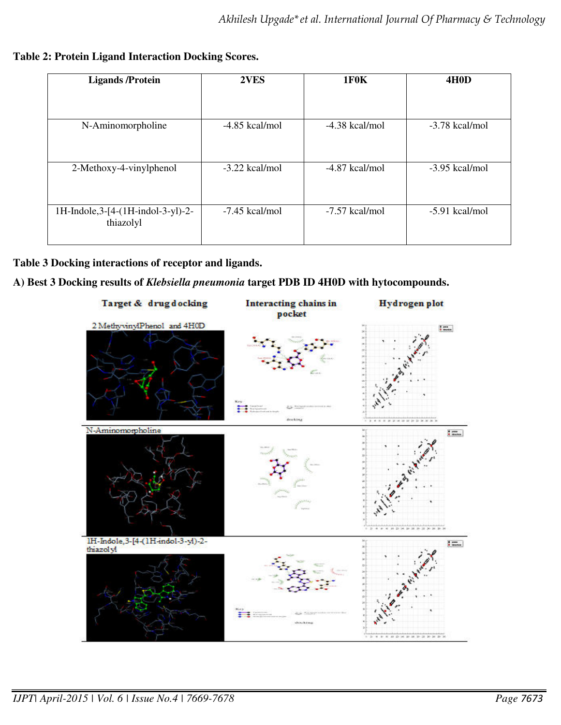**Table 2: Protein Ligand Interaction Docking Scores.**

| <b>Ligands</b> / Protein                        | 2VES             | <b>1F0K</b>      | <b>4H0D</b>      |  |
|-------------------------------------------------|------------------|------------------|------------------|--|
|                                                 |                  |                  |                  |  |
| N-Aminomorpholine                               | $-4.85$ kcal/mol | $-4.38$ kcal/mol | $-3.78$ kcal/mol |  |
| 2-Methoxy-4-vinylphenol                         | $-3.22$ kcal/mol | $-4.87$ kcal/mol | $-3.95$ kcal/mol |  |
| 1H-Indole, 3-[4-(1H-indol-3-yl)-2-<br>thiazolyl | $-7.45$ kcal/mol | -7.57 kcal/mol   | $-5.91$ kcal/mol |  |

## **Table 3 Docking interactions of receptor and ligands.**

## **A) Best 3 Docking results of** *Klebsiella pneumonia* **target PDB ID 4H0D with hytocompounds.**

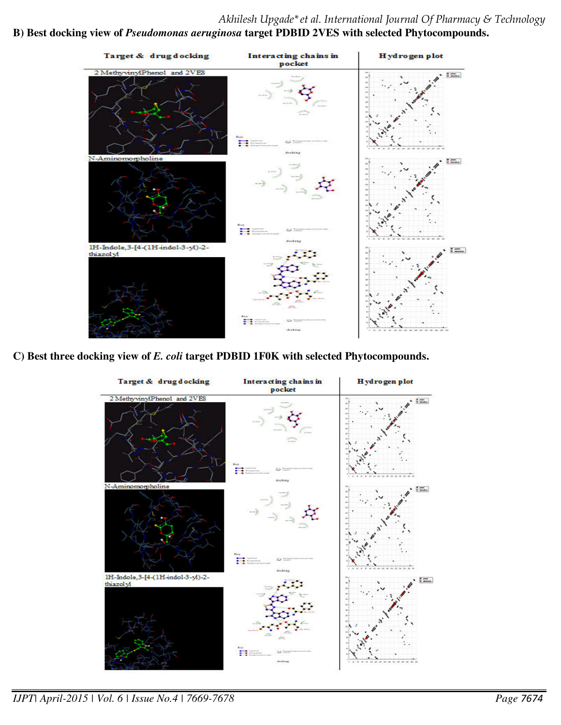# *Akhilesh Upgade\*et al. International Journal Of Pharmacy & Technology*

## **B) Best docking view of** *Pseudomonas aeruginosa* **target PDBID 2VES with selected Phytocompounds.**



**C) Best three docking view of** *E. coli* **target PDBID 1F0K with selected Phytocompounds.** 



*IJPT| April-2015 | Vol. 6 | Issue No.4 | 7669-7678 Page 7674*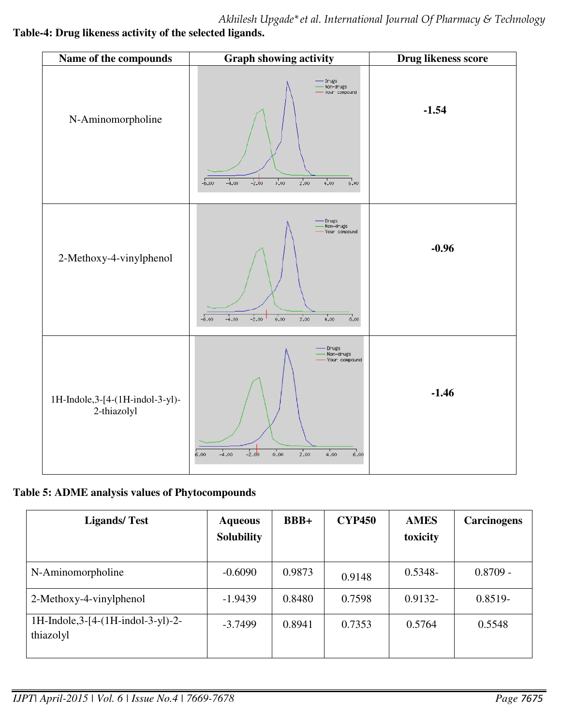*Akhilesh Upgade\*et al. International Journal Of Pharmacy & Technology*  **Table-4: Drug likeness activity of the selected ligands.** 



## **Table 5: ADME analysis values of Phytocompounds**

| <b>Ligands/Test</b>                               | <b>Aqueous</b><br><b>Solubility</b> | $BBB+$ | <b>CYP450</b> | <b>AMES</b><br>toxicity | Carcinogens |
|---------------------------------------------------|-------------------------------------|--------|---------------|-------------------------|-------------|
| N-Aminomorpholine                                 | $-0.6090$                           | 0.9873 | 0.9148        | $0.5348 -$              | $0.8709 -$  |
| 2-Methoxy-4-vinylphenol                           | $-1.9439$                           | 0.8480 | 0.7598        | $0.9132 -$              | $0.8519 -$  |
| 1H-Indole, $3-[4-(1H-indol-3-yl)-2-$<br>thiazolyl | $-3.7499$                           | 0.8941 | 0.7353        | 0.5764                  | 0.5548      |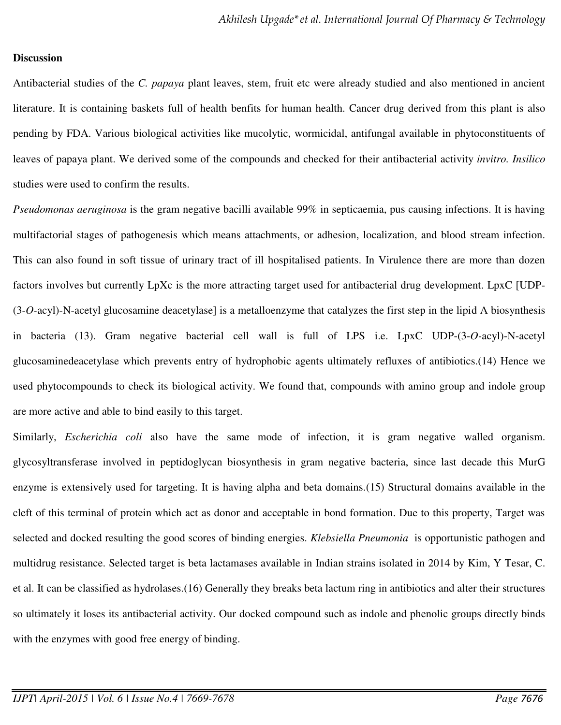#### **Discussion**

Antibacterial studies of the *C. papaya* plant leaves, stem, fruit etc were already studied and also mentioned in ancient literature. It is containing baskets full of health benfits for human health. Cancer drug derived from this plant is also pending by FDA. Various biological activities like mucolytic, wormicidal, antifungal available in phytoconstituents of leaves of papaya plant. We derived some of the compounds and checked for their antibacterial activity *invitro. Insilico* studies were used to confirm the results.

*Pseudomonas aeruginosa* is the gram negative bacilli available 99% in septicaemia, pus causing infections. It is having multifactorial stages of pathogenesis which means attachments, or adhesion, localization, and blood stream infection. This can also found in soft tissue of urinary tract of ill hospitalised patients. In Virulence there are more than dozen factors involves but currently LpXc is the more attracting target used for antibacterial drug development. LpxC [UDP- (3-*O-*acyl)-N-acetyl glucosamine deacetylase] is a metalloenzyme that catalyzes the first step in the lipid A biosynthesis in bacteria (13). Gram negative bacterial cell wall is full of LPS i.e. LpxC UDP-(3-*O-*acyl)-N-acetyl glucosaminedeacetylase which prevents entry of hydrophobic agents ultimately refluxes of antibiotics.(14) Hence we used phytocompounds to check its biological activity. We found that, compounds with amino group and indole group are more active and able to bind easily to this target.

Similarly, *Escherichia coli* also have the same mode of infection, it is gram negative walled organism. glycosyltransferase involved in peptidoglycan biosynthesis in gram negative bacteria, since last decade this MurG enzyme is extensively used for targeting. It is having alpha and beta domains.(15) Structural domains available in the cleft of this terminal of protein which act as donor and acceptable in bond formation. Due to this property, Target was selected and docked resulting the good scores of binding energies. *Klebsiella Pneumonia* is opportunistic pathogen and multidrug resistance. Selected target is beta lactamases available in Indian strains isolated in 2014 by Kim, Y Tesar, C. et al. It can be classified as hydrolases.(16) Generally they breaks beta lactum ring in antibiotics and alter their structures so ultimately it loses its antibacterial activity. Our docked compound such as indole and phenolic groups directly binds with the enzymes with good free energy of binding.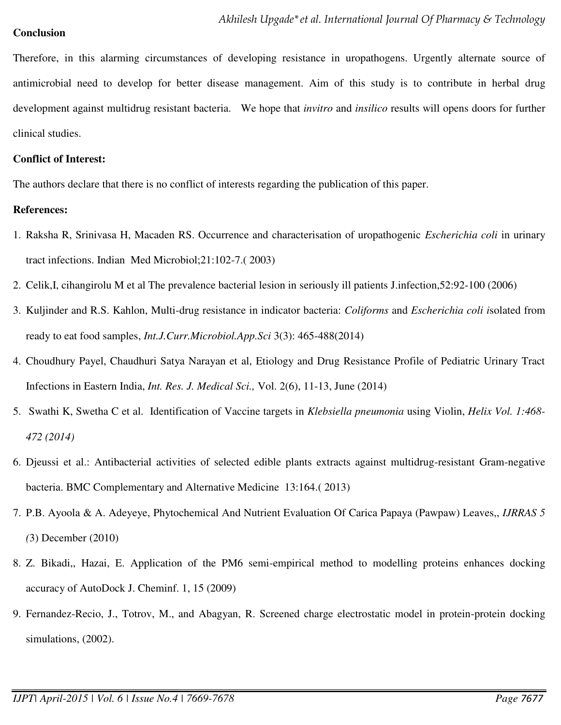## **Conclusion**

Therefore, in this alarming circumstances of developing resistance in uropathogens. Urgently alternate source of antimicrobial need to develop for better disease management. Aim of this study is to contribute in herbal drug development against multidrug resistant bacteria. We hope that *invitro* and *insilico* results will opens doors for further clinical studies.

## **Conflict of Interest:**

The authors declare that there is no conflict of interests regarding the publication of this paper.

## **References:**

- 1. Raksha R, Srinivasa H, Macaden RS. Occurrence and characterisation of uropathogenic *Escherichia coli* in urinary tract infections. Indian Med Microbiol;21:102-7.( 2003)
- 2. Celik,I, cihangirolu M et al The prevalence bacterial lesion in seriously ill patients J.infection,52:92-100 (2006)
- 3. Kuljinder and R.S. Kahlon, Multi-drug resistance in indicator bacteria: *Coliforms* and *Escherichia coli i*solated from ready to eat food samples, *Int.J.Curr.Microbiol.App.Sci* 3(3): 465-488(2014)
- 4. Choudhury Payel, Chaudhuri Satya Narayan et al, Etiology and Drug Resistance Profile of Pediatric Urinary Tract Infections in Eastern India, *Int. Res. J. Medical Sci.,* Vol. 2(6), 11-13, June (2014)
- 5. Swathi K, Swetha C et al. Identification of Vaccine targets in *Klebsiella pneumonia* using Violin, *Helix Vol. 1:468- 472 (2014)*
- 6. Djeussi et al.: Antibacterial activities of selected edible plants extracts against multidrug-resistant Gram-negative bacteria. BMC Complementary and Alternative Medicine 13:164.( 2013)
- 7. P.B. Ayoola & A. Adeyeye, Phytochemical And Nutrient Evaluation Of Carica Papaya (Pawpaw) Leaves,, *IJRRAS 5 (*3) December (2010)
- 8. Z. Bikadi,, Hazai, E. [Application of the PM6 semi-empirical method to modelling proteins enhances docking](http://www.jcheminf.com/content/1/1/15)  [accuracy of AutoDock](http://www.jcheminf.com/content/1/1/15) J. Cheminf. 1, 15 (2009)
- 9. Fernandez-Recio, J., Totrov, M., and Abagyan, R. Screened charge electrostatic model in protein-protein docking simulations, (2002).